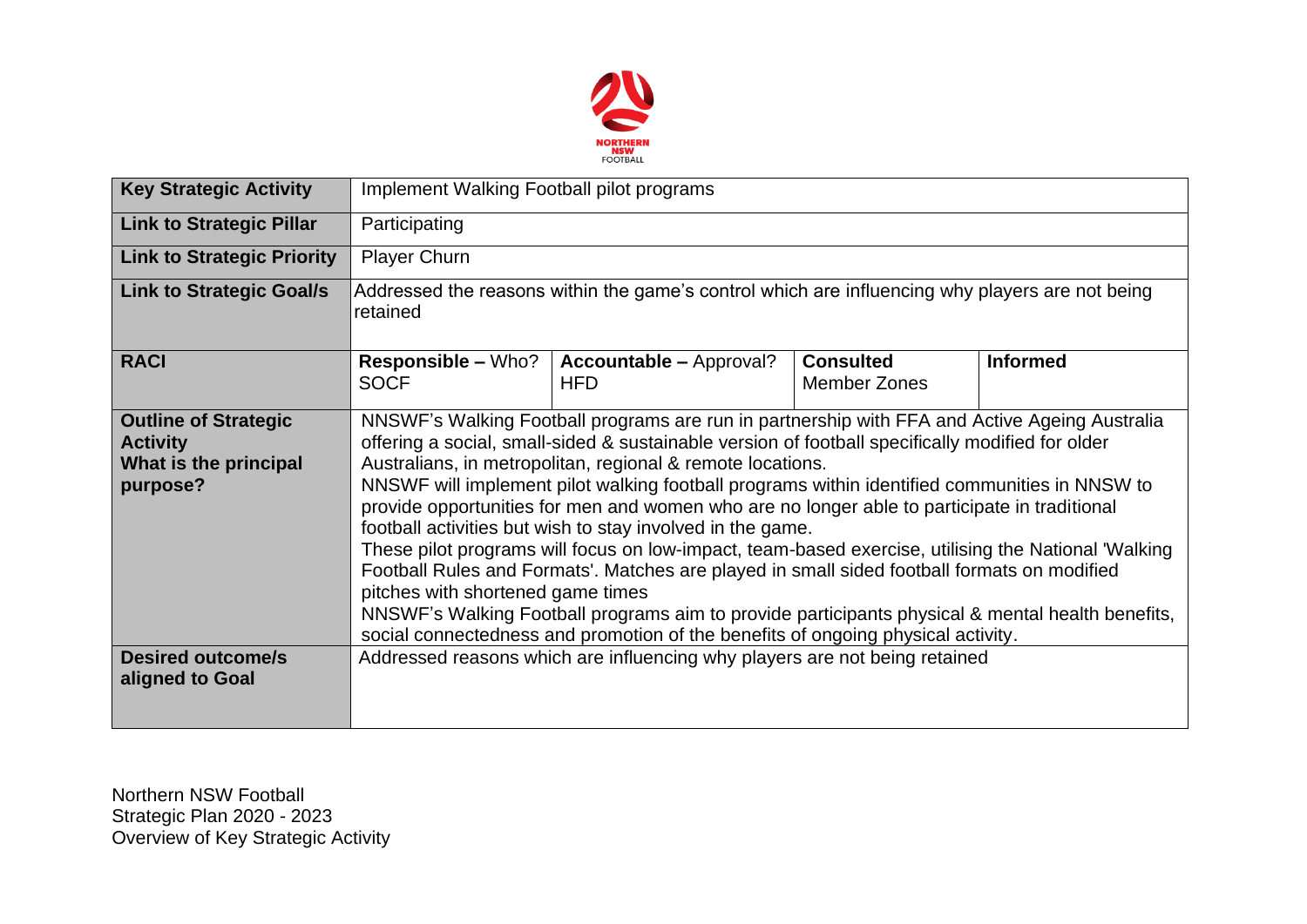

| <b>Key Strategic Activity</b>                                                       | Implement Walking Football pilot programs                                                                                                                                                                                                                                                                                                                                                                                                                                                                                                                                                                                                                                                                                                                                                                                                                                                                                                                         |                                                                            |                                         |                 |  |  |  |
|-------------------------------------------------------------------------------------|-------------------------------------------------------------------------------------------------------------------------------------------------------------------------------------------------------------------------------------------------------------------------------------------------------------------------------------------------------------------------------------------------------------------------------------------------------------------------------------------------------------------------------------------------------------------------------------------------------------------------------------------------------------------------------------------------------------------------------------------------------------------------------------------------------------------------------------------------------------------------------------------------------------------------------------------------------------------|----------------------------------------------------------------------------|-----------------------------------------|-----------------|--|--|--|
| <b>Link to Strategic Pillar</b>                                                     | Participating                                                                                                                                                                                                                                                                                                                                                                                                                                                                                                                                                                                                                                                                                                                                                                                                                                                                                                                                                     |                                                                            |                                         |                 |  |  |  |
| <b>Link to Strategic Priority</b>                                                   | <b>Player Churn</b>                                                                                                                                                                                                                                                                                                                                                                                                                                                                                                                                                                                                                                                                                                                                                                                                                                                                                                                                               |                                                                            |                                         |                 |  |  |  |
| <b>Link to Strategic Goal/s</b>                                                     | Addressed the reasons within the game's control which are influencing why players are not being<br>retained                                                                                                                                                                                                                                                                                                                                                                                                                                                                                                                                                                                                                                                                                                                                                                                                                                                       |                                                                            |                                         |                 |  |  |  |
| <b>RACI</b>                                                                         | <b>Responsible – Who?</b><br><b>SOCF</b>                                                                                                                                                                                                                                                                                                                                                                                                                                                                                                                                                                                                                                                                                                                                                                                                                                                                                                                          | <b>Accountable – Approval?</b><br><b>HFD</b>                               | <b>Consulted</b><br><b>Member Zones</b> | <b>Informed</b> |  |  |  |
| <b>Outline of Strategic</b><br><b>Activity</b><br>What is the principal<br>purpose? | NNSWF's Walking Football programs are run in partnership with FFA and Active Ageing Australia<br>offering a social, small-sided & sustainable version of football specifically modified for older<br>Australians, in metropolitan, regional & remote locations.<br>NNSWF will implement pilot walking football programs within identified communities in NNSW to<br>provide opportunities for men and women who are no longer able to participate in traditional<br>football activities but wish to stay involved in the game.<br>These pilot programs will focus on low-impact, team-based exercise, utilising the National 'Walking<br>Football Rules and Formats'. Matches are played in small sided football formats on modified<br>pitches with shortened game times<br>NNSWF's Walking Football programs aim to provide participants physical & mental health benefits,<br>social connectedness and promotion of the benefits of ongoing physical activity. |                                                                            |                                         |                 |  |  |  |
| <b>Desired outcome/s</b><br>aligned to Goal                                         |                                                                                                                                                                                                                                                                                                                                                                                                                                                                                                                                                                                                                                                                                                                                                                                                                                                                                                                                                                   | Addressed reasons which are influencing why players are not being retained |                                         |                 |  |  |  |